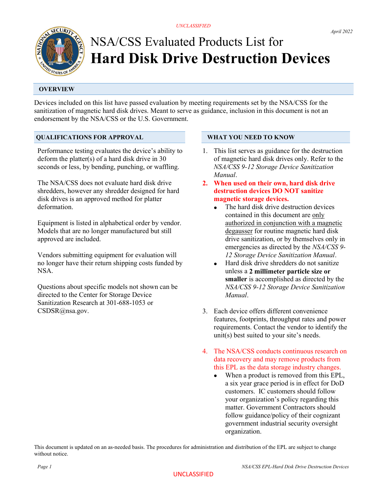# NSA/CSS Evaluated Products List for Hard Disk Drive Destruction Devices

# **OVERVIEW**

Devices included on this list have passed evaluation by meeting requirements set by the NSA/CSS for the sanitization of magnetic hard disk drives. Meant to serve as guidance, inclusion in this document is not an endorsement by the NSA/CSS or the U.S. Government.

## QUALIFICATIONS FOR APPROVAL

Performance testing evaluates the device's ability to deform the platter(s) of a hard disk drive in 30 seconds or less, by bending, punching, or waffling.

The NSA/CSS does not evaluate hard disk drive shredders, however any shredder designed for hard disk drives is an approved method for platter deformation.

Equipment is listed in alphabetical order by vendor. Models that are no longer manufactured but still approved are included.

Vendors submitting equipment for evaluation will no longer have their return shipping costs funded by NSA.

Questions about specific models not shown can be directed to the Center for Storage Device Sanitization Research at 301-688-1053 or CSDSR@nsa.gov.

#### WHAT YOU NEED TO KNOW

- 1. This list serves as guidance for the destruction of magnetic hard disk drives only. Refer to the NSA/CSS 9-12 Storage Device Sanitization Manual.
- 2. When used on their own, hard disk drive destruction devices DO NOT sanitize magnetic storage devices.
	- The hard disk drive destruction devices contained in this document are only authorized in conjunction with a magnetic degausser for routine magnetic hard disk drive sanitization, or by themselves only in emergencies as directed by the NSA/CSS 9- 12 Storage Device Sanitization Manual.
	- Hard disk drive shredders do not sanitize unless a 2 millimeter particle size or smaller is accomplished as directed by the NSA/CSS 9-12 Storage Device Sanitization Manual.
- 3. Each device offers different convenience features, footprints, throughput rates and power requirements. Contact the vendor to identify the unit(s) best suited to your site's needs.
- 4. The NSA/CSS conducts continuous research on data recovery and may remove products from this EPL as the data storage industry changes.
	- When a product is removed from this EPL, a six year grace period is in effect for DoD customers. IC customers should follow your organization's policy regarding this matter. Government Contractors should follow guidance/policy of their cognizant government industrial security oversight organization.

This document is updated on an as-needed basis. The procedures for administration and distribution of the EPL are subject to change without notice.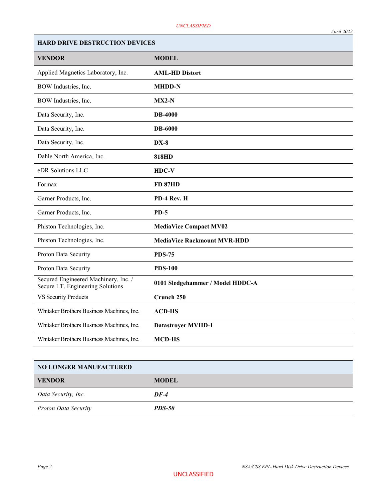| <b>HARD DRIVE DESTRUCTION DEVICES</b>                                     |                                    |
|---------------------------------------------------------------------------|------------------------------------|
| <b>VENDOR</b>                                                             | <b>MODEL</b>                       |
| Applied Magnetics Laboratory, Inc.                                        | <b>AML-HD Distort</b>              |
| BOW Industries, Inc.                                                      | <b>MHDD-N</b>                      |
| BOW Industries, Inc.                                                      | $MX2-N$                            |
| Data Security, Inc.                                                       | <b>DB-4000</b>                     |
| Data Security, Inc.                                                       | <b>DB-6000</b>                     |
| Data Security, Inc.                                                       | $DX-8$                             |
| Dahle North America, Inc.                                                 | <b>818HD</b>                       |
| eDR Solutions LLC                                                         | $HDC-V$                            |
| Formax                                                                    | <b>FD 87HD</b>                     |
| Garner Products, Inc.                                                     | PD-4 Rev. H                        |
| Garner Products, Inc.                                                     | $PD-5$                             |
| Phiston Technologies, Inc.                                                | <b>MediaVice Compact MV02</b>      |
| Phiston Technologies, Inc.                                                | <b>MediaVice Rackmount MVR-HDD</b> |
| Proton Data Security                                                      | <b>PDS-75</b>                      |
| Proton Data Security                                                      | <b>PDS-100</b>                     |
| Secured Engineered Machinery, Inc. /<br>Secure I.T. Engineering Solutions | 0101 Sledgehammer / Model HDDC-A   |
| <b>VS Security Products</b>                                               | Crunch 250                         |
| Whitaker Brothers Business Machines, Inc.                                 | <b>ACD-HS</b>                      |
| Whitaker Brothers Business Machines, Inc.                                 | <b>Datastroyer MVHD-1</b>          |
| Whitaker Brothers Business Machines, Inc.                                 | <b>MCD-HS</b>                      |
|                                                                           |                                    |

| <b>NO LONGER MANUFACTURED</b> |               |
|-------------------------------|---------------|
| <b>VENDOR</b>                 | <b>MODEL</b>  |
| Data Security, Inc.           | $DF-4$        |
| <b>Proton Data Security</b>   | <b>PDS-50</b> |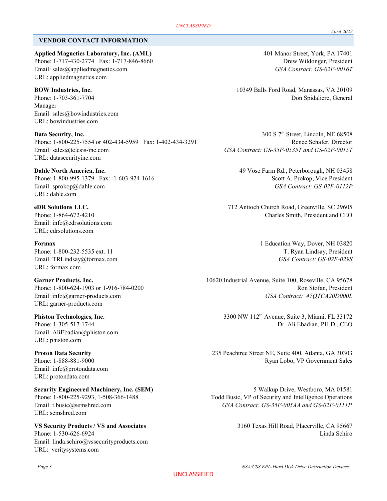### VENDOR CONTACT INFORMATION

Applied Magnetics Laboratory, Inc. (AML) 401 Manor Street, York, PA 17401 Phone: 1-717-430-2774 Fax: 1-717-846-8660 Drew Wildonger, President Email: sales@appliedmagnetics.com GSA Contract: GS-02F-0016T URL: appliedmagnetics.com

Manager Email: sales@bowindustries.com URL: bowindustries.com

Data Security, Inc. 200 S 7<sup>th</sup> Street, Lincoln, NE 68508 Phone: 1-800-225-7554 or 402-434-5959 Fax: 1-402-434-3291 Renee Schafer, Director Email: sales@telesis-inc.com GSA Contract: GS-35F-0535T and GS-02F-0015T URL: datasecurityinc.com

Phone: 1-800-995-1379 Fax: 1-603-924-1616 Scott A. Prokop, Vice President Email: sprokop@dahle.com GSA Contract: GS-02F-0112P URL: dahle.com

Email: info@edrsolutions.com URL: edrsolutions.com

URL: formax.com

URL: garner-products.com

Email: AliEbadian@phiston.com URL: phiston.com

URL: semshred.com

Email: info@protondata.com URL: protondata.com

Email: linda.schiro@vssecurityproducts.com URL: veritysystems.com

BOW Industries, Inc. 10349 Balls Ford Road, Manassas, VA 20109 Phone: 1-703-361-7704 Don Spidaliere, General

Dahle North America, Inc. 49 Vose Farm Rd., Peterborough, NH 03458

eDR Solutions LLC. 712 Antioch Church Road, Greenville, SC 29605 Phone: 1-864-672-4210 Charles Smith, President and CEO

Formax 1 Education Way, Dover, NH 03820 Phone: 1-800-232-5535 ext. 11 T. Ryan Lindsay, President Email: TRLindsay@formax.com GSA Contract: GS-02F-029S

Garner Products, Inc. **10620** Industrial Avenue, Suite 100, Roseville, CA 95678 Phone: 1-800-624-1903 or 1-916-784-0200 Ron Stofan, President Email: info@garner-products.com GSA Contract: 47QTCA20D000L

**Phiston Technologies, Inc.** 3300 NW 112<sup>th</sup> Avenue, Suite 3, Miami, FL 33172 Phone: 1-305-517-1744 Dr. Ali Ebadian, PH.D., CEO

Proton Data Security 235 Peachtree Street NE, Suite 400, Atlanta, GA 30303 Phone: 1-888-881-9000 Ryan Lobo, VP Government Sales

Security Engineered Machinery, Inc. (SEM) 5 Walkup Drive, Westboro, MA 01581 Phone: 1-800-225-9293, 1-508-366-1488 Todd Busic, VP of Security and Intelligence Operations Email: t.busic@semshred.com GSA Contract: GS-35F-005AA and GS-02F-0111P

VS Security Products / VS and Associates 3160 Texas Hill Road, Placerville, CA 95667 Phone: 1-530-626-6924 Linda Schiro

UNCLASSIFIED